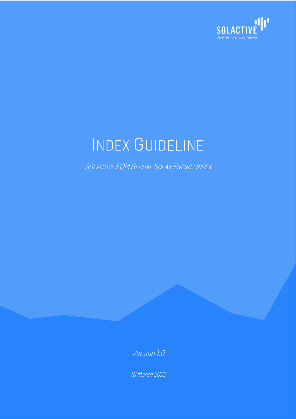

# INDEX GUIDELINE

SOLACTIVE EQM GLOBAL SOLAR ENERGY INDEX

Version 1.0

10 March 2022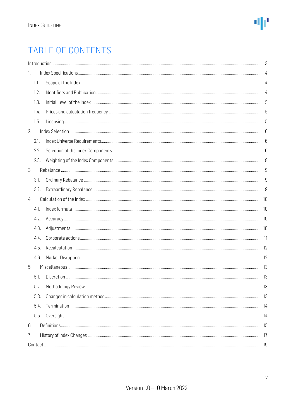### TABLE OF CONTENTS

|    |      | Introduction 33 |  |  |  |  |  |
|----|------|-----------------|--|--|--|--|--|
| 1. |      |                 |  |  |  |  |  |
|    | 1.1. |                 |  |  |  |  |  |
|    | 1.2. |                 |  |  |  |  |  |
|    | 1.3. |                 |  |  |  |  |  |
|    | 1.4. |                 |  |  |  |  |  |
|    | 1.5. |                 |  |  |  |  |  |
| 2. |      |                 |  |  |  |  |  |
|    | 2.1. |                 |  |  |  |  |  |
|    | 2.2. |                 |  |  |  |  |  |
|    | 2.3. |                 |  |  |  |  |  |
| 3. |      |                 |  |  |  |  |  |
|    | 3.1. |                 |  |  |  |  |  |
|    | 3.2. |                 |  |  |  |  |  |
| 4. |      |                 |  |  |  |  |  |
|    | 4.1. |                 |  |  |  |  |  |
|    | 4.2. |                 |  |  |  |  |  |
|    | 4.3. |                 |  |  |  |  |  |
|    | 4.4. |                 |  |  |  |  |  |
|    | 4.5. |                 |  |  |  |  |  |
|    | 4.6. |                 |  |  |  |  |  |
| 5. |      |                 |  |  |  |  |  |
|    | 5.1. |                 |  |  |  |  |  |
|    | 5.2. |                 |  |  |  |  |  |
|    | 5.3. |                 |  |  |  |  |  |
|    | 5.4. |                 |  |  |  |  |  |
|    | 5.5. |                 |  |  |  |  |  |
| 6. |      |                 |  |  |  |  |  |
| 7. |      |                 |  |  |  |  |  |
|    |      |                 |  |  |  |  |  |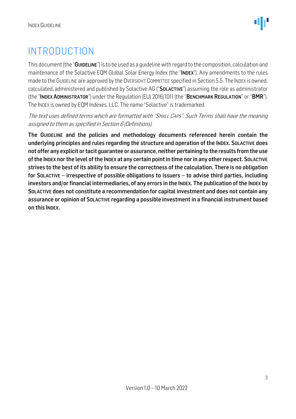### <span id="page-2-0"></span>INTRODUCTION

This document (the "GUIDELINE") is to be used as a quideline with regard to the composition, calculation and maintenance of the Solactive EQM Global Solar Energy Index (the "INDEX"). Any amendments to the rules made to the GUIDELINE are approved by the OVERSIGHT COMMITTEE specified in Section 5.5. The INDEX is owned, calculated, administered and published by Solactive AG ("SOLACTIVE") assuming the role as administrator (the "INDEX ADMINISTRATOR") under the Regulation (EU) 2016/1011 (the "BENCHMARK REGULATION" or "BMR"). The INDEX is owned by EQM Indexes, LLC. The name "Solactive" is trademarked.

The text uses defined terms which are formatted with "SMALL CAPS". Such Terms shall have the meaning assigned to them as specified in Section 6 (Definitions).

The GUIDELINE and the policies and methodology documents referenced herein contain the underlying principles and rules regarding the structure and operation of the INDEX. SOLACTIVE does not offer any explicit or tacit guarantee or assurance, neither pertaining to the results from the use of the INDEX nor the level of the INDEX at any certain point in time nor in any other respect. SOLACTIVE strives to the best of its ability to ensure the correctness of the calculation. There is no obligation for SOLACTIVE – irrespective of possible obligations to issuers – to advise third parties, including investors and/or financial intermediaries, of any errors in the INDEX. The publication of the INDEX by SOLACTIVE does not constitute a recommendation for capital investment and does not contain any assurance or opinion of SOLACTIVE regarding a possible investment in a financial instrument based on this INDEX.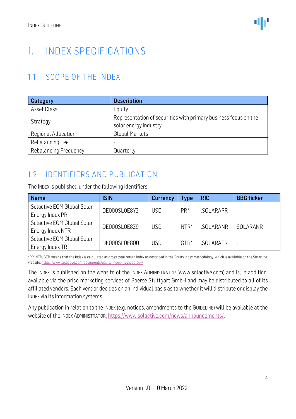### <span id="page-3-0"></span>1. INDEX SPECIFICATIONS

#### <span id="page-3-1"></span>1.1. SCOPE OF THE INDEX

| <b>Category</b>            | <b>Description</b>                                                                        |  |  |
|----------------------------|-------------------------------------------------------------------------------------------|--|--|
| Asset Class                | Equity                                                                                    |  |  |
| Strategy                   | Representation of securities with primary business focus on the<br>solar energy industry. |  |  |
| <b>Regional Allocation</b> | <b>Global Markets</b>                                                                     |  |  |
| Rebalancing Fee            |                                                                                           |  |  |
| Rebalancing Frequency      | Quarterly                                                                                 |  |  |

#### <span id="page-3-2"></span>1.2. IDENTIFIERS AND PUBLICATION

The INDEX is published under the following identifiers:

| <b>Name</b>                | ISIN         | <b>Currency</b> | <b>Type</b> | <b>RIC</b> | <b>BBG</b> ticker        |
|----------------------------|--------------|-----------------|-------------|------------|--------------------------|
| Solactive EQM Global Solar | DE000SL0E8Y2 | <b>USD</b>      | $PR*$       | SOLARAPR   | $\overline{\phantom{a}}$ |
| Energy Index PR            |              |                 |             |            | SOLARANR                 |
| Solactive EQM Global Solar | DE000SL0E8Z9 | <b>USD</b>      | $NTR*$      | .SOLARANR  |                          |
| Energy Index NTR           |              |                 |             |            |                          |
| Solactive EQM Global Solar | DE000SL0E800 | <b>USD</b>      | $GTR*$      | .SOLARATR  |                          |
| Energy Index TR            |              |                 |             |            | -                        |

\*PR, NTR, GTR means that the Index is calculated as gross total return Index as described in the Equity Index Methodology, which is available on the SOLACTIVE website[: https://www.solactive.com/documents/equity-index-methodology/](https://www.solactive.com/documents/equity-index-methodology/)

The INDEX is published on the website of the INDEX ADMINISTRATOR [\(www.solactive.com\)](http://www.solactive.com/) and is, in addition, available via the price marketing services of Boerse Stuttgart GmbH and may be distributed to all of its affiliated vendors. Each vendor decides on an individual basis as to whether it will distribute or display the INDEX via its information systems.

Any publication in relation to the INDEX (e.g. notices, amendments to the GUIDELINE) will be available at the website of the INDEX ADMINISTRATOR: [https://www.solactive.com/news/announcements/.](https://www.solactive.com/news/announcements/)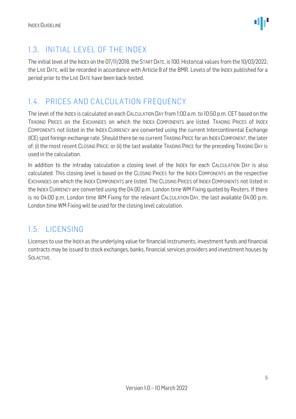

#### <span id="page-4-0"></span>1.3. INITIAL LEVEL OF THE INDEX

The initial level of the INDEX on the 07/11/2018, the START DATE, is 100. Historical values from the 10/03/2022, the LIVE DATE, will be recorded in accordance with Article 8 of the BMR. Levels of the INDEX published for a period prior to the LIVE DATE have been back-tested.

#### <span id="page-4-1"></span>1.4. PRICES AND CALCULATION FREQUENCY

The level of the INDEX is calculated on each CALCULATION DAY from 1:00 a.m. to 10:50 p.m. CET based on the TRADING PRICES on the EXCHANGES on which the INDEX COMPONENTS are listed. TRADING PRICES of INDEX COMPONENTS not listed in the INDEX CURRENCY are converted using the current Intercontinental Exchange (ICE) spot foreign exchange rate. Should there be no current TRADING PRICE for an INDEXCOMPONENT, the later of: (i) the most recent CLOSING PRICE; or (ii) the last available TRADING PRICE for the preceding TRADING DAY is used in the calculation.

In addition to the intraday calculation a closing level of the INDEX for each CALCULATION DAY is also calculated. This closing level is based on the CLOSING PRICES for the INDEX COMPONENTS on the respective EXCHANGES on which the INDEX COMPONENTS are listed. The CLOSING PRICES of INDEX COMPONENTS not listed in the INDEX CURRENCY are converted using the 04:00 p.m. London time WM Fixing quoted by Reuters. If there is no 04:00 p.m. London time WM Fixing for the relevant CALCULATION DAY, the last available 04:00 p.m. London time WM Fixing will be used for the closing level calculation.

#### <span id="page-4-2"></span>1.5. LICENSING

Licenses to use the INDEX as the underlying value for financial instruments, investment funds and financial contracts may be issued to stock exchanges, banks, financial services providers and investment houses by SOLACTIVE.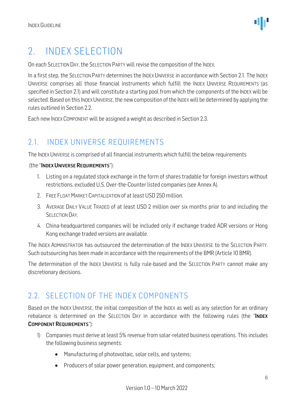### <span id="page-5-0"></span>2. INDEX SELECTION

On each SELECTION DAY, the SELECTION PARTY will revise the composition of the INDEX.

In a first step, the SELECTION PARTY determines the INDEX UNIVERSE in accordance with Section 2.1. The INDEX UNIVERSE comprises all those financial instruments which fulfill the INDEX UNIVERSE REQUIREMENTS (as specified in Section 2.1) and will constitute a starting pool from which the components of the INDEX will be selected. Based on this INDEX UNIVERSE, the new composition of the INDEX will be determined by applying the rules outlined in Section 2.2.

Each new INDEX COMPONENT will be assigned a weight as described in Section 2.3.

#### <span id="page-5-1"></span>2.1. INDEX UNIVERSE REQUIREMENTS

The INDEX UNIVERSE is comprised of all financial instruments which fulfill the below requirements

#### (the "INDEX UNIVERSE REQUIREMENTS"):

- 1. Listing on a regulated stock exchange in the form of shares tradable for foreign investors without restrictions, excluded U.S. Over-the-Counter listed companies (see Annex A).
- 2. FREE FLOAT MARKET CAPITALIZATION of at least USD 250 million.
- 3. AVERAGE DAILY VALUE TRADED of at least USD 2 million over six months prior to and including the SELECTION DAY.
- 4. China-headquartered companies will be included only if exchange traded ADR versions or Hong Kong exchange traded versions are available.

The INDEX ADMINISTRATOR has outsourced the determination of the INDEX UNIVERSE to the SELECTION PARTY. Such outsourcing has been made in accordance with the requirements of the BMR (Article 10 BMR).

The determination of the INDEX UNIVERSE is fully rule-based and the SELECTION PARTY cannot make any discretionary decisions.

#### <span id="page-5-2"></span>2.2. SELECTION OF THE INDEX COMPONENTS

Based on the INDEX UNIVERSE, the initial composition of the INDEX as well as any selection for an ordinary rebalance is determined on the SELECTION DAY in accordance with the following rules (the "INDEX COMPONENT REQUIREMENTS"):

- 1) Companies must derive at least 5% revenue from solar-related business operations. This includes the following business segments:
	- Manufacturing of photovoltaic, solar cells, and systems;
	- Producers of solar power generation, equipment, and components;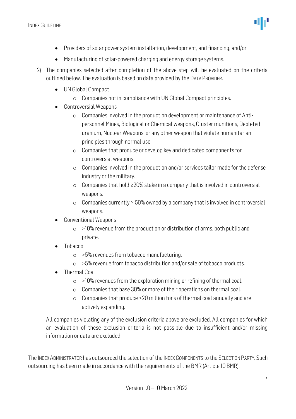

- Providers of solar power system installation, development, and financing, and/or
- Manufacturing of solar-powered charging and energy storage systems.
- 2) The companies selected after completion of the above step will be evaluated on the criteria outlined below. The evaluation is based on data provided by the DATA PROVIDER.
	- UN Global Compact
		- o Companies not in compliance with UN Global Compact principles.
	- Controversial Weapons
		- o Companies involved in the production development or maintenance of Antipersonnel Mines, Biological or Chemical weapons, Cluster munitions, Depleted uranium, Nuclear Weapons, or any other weapon that violate humanitarian principles through normal use.
		- o Companies that produce or develop key and dedicated components for controversial weapons.
		- $\circ$  Companies involved in the production and/or services tailor made for the defense industry or the military.
		- o Companies that hold ≥20% stake in a company that is involved in controversial weapons.
		- o Companies currently ≥ 50% owned by a company that is involved in controversial weapons.
	- Conventional Weapons
		- o >10% revenue from the production or distribution of arms, both public and private.
	- Tobacco
		- o >5% revenues from tobacco manufacturing.
		- o >5% revenue from tobacco distribution and/or sale of tobacco products.
	- Thermal Coal
		- o >10% revenues from the exploration mining or refining of thermal coal.
		- o Companies that base 30% or more of their operations on thermal coal.
		- o Companies that produce >20 million tons of thermal coal annually and are actively expanding.

All companies violating any of the exclusion criteria above are excluded. All companies for which an evaluation of these exclusion criteria is not possible due to insufficient and/or missing information or data are excluded.

The INDEX ADMINISTRATOR has outsourced the selection of the INDEXCOMPONENTS to the SELECTION PARTY. Such outsourcing has been made in accordance with the requirements of the BMR (Article 10 BMR).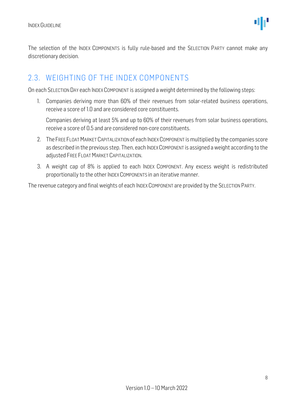

The selection of the INDEX COMPONENTS is fully rule-based and the SELECTION PARTY cannot make any discretionary decision.

#### <span id="page-7-0"></span>2.3. WEIGHTING OF THE INDEX COMPONENTS

On each SELECTION DAY each INDEX COMPONENT is assigned a weight determined by the following steps:

1. Companies deriving more than 60% of their revenues from solar-related business operations, receive a score of 1.0 and are considered core constituents.

Companies deriving at least 5% and up to 60% of their revenues from solar business operations, receive a score of 0.5 and are considered non-core constituents.

- 2. TheFREE FLOAT MARKET CAPITALIZATION of each INDEX COMPONENT is multiplied by the companies score as described in the previous step. Then, each INDEX COMPONENT is assigned a weight according to the adjusted FREE FLOAT MARKET CAPITALIZATION.
- 3. A weight cap of 8% is applied to each INDEX COMPONENT. Any excess weight is redistributed proportionally to the other INDEX COMPONENTS in an iterative manner.

The revenue category and final weights of each INDEX COMPONENT are provided by the SELECTION PARTY.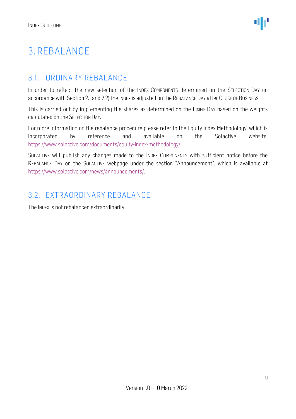### <span id="page-8-0"></span>3. REBALANCE

#### <span id="page-8-1"></span>3.1. ORDINARY REBALANCE

In order to reflect the new selection of the INDEX COMPONENTS determined on the SELECTION DAY (in accordance with Section 2.1 and 2.2) the INDEX is adjusted on the REBALANCE DAY after CLOSE OF BUSINESS.

This is carried out by implementing the shares as determined on the FIXING DAY based on the weights calculated on the SELECTION DAY.

For more information on the rebalance procedure please refer to the Equity Index Methodology, which is incorporated by reference and available on the Solactive website: [https://www.solactive.com/documents/equity-index-methodology/.](https://www.solactive.com/documents/equity-index-methodology/)

SOLACTIVE will publish any changes made to the INDEX COMPONENTS with sufficient notice before the REBALANCE DAY on the SOLACTIVE webpage under the section "Announcement", which is available at [https://www.solactive.com/news/announcements/.](https://www.solactive.com/news/announcements/)

#### <span id="page-8-2"></span>3.2. EXTRAORDINARY REBALANCE

The INDEX is not rebalanced extraordinarily.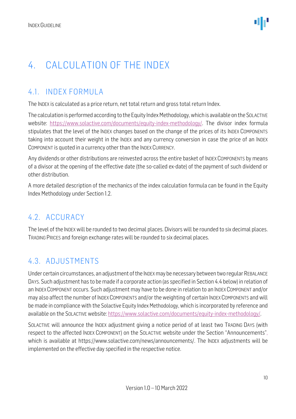### <span id="page-9-0"></span>4. CALCULATION OF THE INDEX

#### <span id="page-9-1"></span>4.1. INDEX FORMULA

The INDEX is calculated as a price return, net total return and gross total return Index.

The calculation is performed according to the Equity Index Methodology, which is available on the SOLACTIVE website: [https://www.solactive.com/documents/equity-index-methodology/.](https://www.solactive.com/documents/equity-index-methodology/) The divisor index formula stipulates that the level of the INDEX changes based on the change of the prices of its INDEX COMPONENTS taking into account their weight in the INDEX and any currency conversion in case the price of an INDEX COMPONENT is quoted in a currency other than the INDEX CURRENCY.

Any dividends or other distributions are reinvested across the entire basket of INDEX COMPONENTS by means of a divisor at the opening of the effective date (the so-called ex-date) of the payment of such dividend or other distribution.

A more detailed description of the mechanics of the index calculation formula can be found in the Equity Index Methodology under Section 1.2.

#### <span id="page-9-2"></span>4.2. ACCURACY

The level of the INDEX will be rounded to two decimal places. Divisors will be rounded to six decimal places. TRADING PRICES and foreign exchange rates will be rounded to six decimal places.

#### <span id="page-9-3"></span>4.3. ADJUSTMENTS

Under certain circumstances, an adjustment of the INDEXmay be necessary between two regular REBALANCE DAYS. Such adjustment has to be made if a corporate action (as specified in Section 4.4 below) in relation of an INDEX COMPONENT occurs. Such adjustment may have to be done in relation to an INDEX COMPONENT and/or may also affect the number of INDEX COMPONENTS and/or the weighting of certain INDEX COMPONENTS and will be made in compliance with the Solactive Equity Index Methodology, which is incorporated by reference and available on the SOLACTIVE website: [https://www.solactive.com/documents/equity-index-methodology/.](https://www.solactive.com/documents/equity-index-methodology/)

SOLACTIVE will announce the INDEX adjustment giving a notice period of at least two TRADING DAYS (with respect to the affected INDEX COMPONENT) on the SOLACTIVE website under the Section "Announcements", which is available at https://www.solactive.com/news/announcements/. The INDEX adjustments will be implemented on the effective day specified in the respective notice.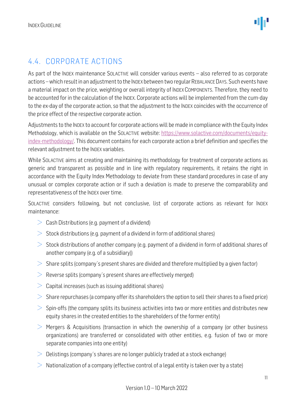#### <span id="page-10-0"></span>4.4. CORPORATE ACTIONS

As part of the INDEX maintenance SOLACTIVE will consider various events – also referred to as corporate actions –which result in an adjustment to the INDEX between two regular REBALANCE DAYS. Such events have a material impact on the price, weighting or overall integrity of INDEX COMPONENTS. Therefore, they need to be accounted for in the calculation of the INDEX. Corporate actions will be implemented from the cum-day to the ex-day of the corporate action, so that the adjustment to the INDEX coincides with the occurrence of the price effect of the respective corporate action.

Adjustments to the INDEX to account for corporate actions will be made in compliance with the Equity Index Methodology, which is available on the SOLACTIVE website: [https://www.solactive.com/documents/equity](https://www.solactive.com/documents/equity-index-methodology/)[index-methodology/.](https://www.solactive.com/documents/equity-index-methodology/) This document contains for each corporate action a brief definition and specifies the relevant adjustment to the INDEX variables.

While SOLACTIVE aims at creating and maintaining its methodology for treatment of corporate actions as generic and transparent as possible and in line with regulatory requirements, it retains the right in accordance with the Equity Index Methodology to deviate from these standard procedures in case of any unusual or complex corporate action or if such a deviation is made to preserve the comparability and representativeness of the INDEX over time.

SOLACTIVE considers following, but not conclusive, list of corporate actions as relevant for INDEX maintenance:

- $\geq$  Cash Distributions (e.g. payment of a dividend)
- $>$  Stock distributions (e.g. payment of a dividend in form of additional shares)
- $>$  Stock distributions of another company (e.g. payment of a dividend in form of additional shares of another company (e.g. of a subsidiary))
- $>$  Share splits (company's present shares are divided and therefore multiplied by a given factor)
- $\geq$  Reverse splits (company's present shares are effectively merged)
- $>$  Capital increases (such as issuing additional shares)
- $>$  Share repurchases (a company offer its shareholders the option to sell their shares to a fixed price)
- $>$  Spin-offs (the company splits its business activities into two or more entities and distributes new equity shares in the created entities to the shareholders of the former entity)
- $>$  Mergers & Acquisitions (transaction in which the ownership of a company (or other business organizations) are transferred or consolidated with other entities, e.g. fusion of two or more separate companies into one entity)
- $\geq$  Delistings (company's shares are no longer publicly traded at a stock exchange)
- $>$  Nationalization of a company (effective control of a legal entity is taken over by a state)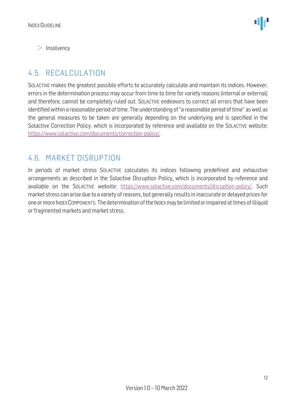$>$  Insolvency

#### <span id="page-11-0"></span>4.5. RECALCULATION

SOLACTIVE makes the greatest possible efforts to accurately calculate and maintain its indices. However, errors in the determination process may occur from time to time for variety reasons (internal or external) and therefore, cannot be completely ruled out. SOLACTIVE endeavors to correct all errors that have been identified within a reasonable period of time. The understanding of "a reasonable period of time" as well as the general measures to be taken are generally depending on the underlying and is specified in the Solactive Correction Policy, which is incorporated by reference and available on the SOLACTIVE website: [https://www.solactive.com/documents/correction-policy/.](https://www.solactive.com/documents/correction-policy/)

#### <span id="page-11-1"></span>4.6. MARKET DISRUPTION

In periods of market stress SOLACTIVE calculates its indices following predefined and exhaustive arrangements as described in the Solactive Disruption Policy, which is incorporated by reference and available on the SOLACTIVE website: [https://www.solactive.com/documents/disruption-policy/.](https://www.solactive.com/documents/disruption-policy/) Such market stress can arise due to a variety of reasons, but generally results in inaccurate or delayed prices for one or more INDEXCOMPONENTS. The determination of the INDEXmay be limited or impaired at times of illiquid or fragmented markets and market stress.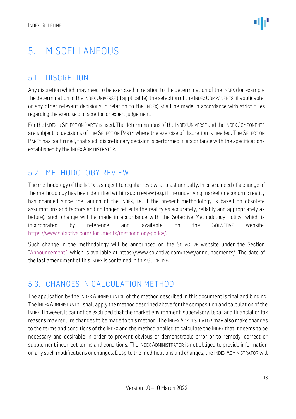### <span id="page-12-0"></span>5. MISCELLANEOUS

#### <span id="page-12-1"></span>5.1. DISCRETION

Any discretion which may need to be exercised in relation to the determination of the INDEX (for example the determination of the INDEX UNIVERSE (if applicable), the selection of the INDEX COMPONENTS (if applicable) or any other relevant decisions in relation to the INDEX) shall be made in accordance with strict rules regarding the exercise of discretion or expert judgement.

For the INDEX, a SELECTION PARTY is used. The determinations of the INDEXUNIVERSE and the INDEXCOMPONENTS are subject to decisions of the SELECTION PARTY where the exercise of discretion is needed. The SELECTION PARTY has confirmed, that such discretionary decision is performed in accordance with the specifications established by the INDEX ADMINISTRATOR.

#### <span id="page-12-2"></span>5.2. METHODOLOGY REVIEW

The methodology of the INDEX is subject to regular review, at least annually. In case a need of a change of the methodology has been identified within such review (e.g. if the underlying market or economic reality has changed since the launch of the INDEX, i.e. if the present methodology is based on obsolete assumptions and factors and no longer reflects the reality as accurately, reliably and appropriately as before), such change will be made in accordance with the Solactive Methodology Policy, which is incorporated by reference and available on the SOLACTIVE website: [https://www.solactive.com/documents/methodology-policy/.](https://www.solactive.com/documents/methodology-policy/)

Such change in the methodology will be announced on the SOLACTIVE website under the Section "Announcement", which is available at https://www.solactive.com/news/announcements/. The date of the last amendment of this INDEX is contained in this GUIDELINE.

#### <span id="page-12-3"></span>5.3. CHANGES IN CALCULATION METHOD

The application by the INDEX ADMINISTRATOR of the method described in this document is final and binding. The INDEXADMINISTRATOR shall apply the method described above for the composition and calculation of the INDEX. However, it cannot be excluded that the market environment, supervisory, legal and financial or tax reasons may require changes to be made to this method. The INDEX ADMINISTRATOR may also make changes to the terms and conditions of the INDEX and the method applied to calculate the INDEX that it deems to be necessary and desirable in order to prevent obvious or demonstrable error or to remedy, correct or supplement incorrect terms and conditions. The INDEX ADMINISTRATOR is not obliged to provide information on any such modifications or changes. Despite the modifications and changes, the INDEX ADMINISTRATOR will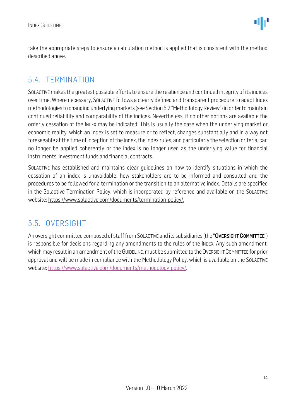take the appropriate steps to ensure a calculation method is applied that is consistent with the method described above.

#### <span id="page-13-0"></span>5.4. TERMINATION

SOLACTIVE makes the greatest possible efforts to ensure the resilience and continued integrity of its indices over time. Where necessary, SOLACTIVE follows a clearly defined and transparent procedure to adapt Index methodologies to changing underlying markets (see Section 5.2 "Methodology Review") in order to maintain continued reliability and comparability of the indices. Nevertheless, if no other options are available the orderly cessation of the INDEX may be indicated. This is usually the case when the underlying market or economic reality, which an index is set to measure or to reflect, changes substantially and in a way not foreseeable at the time of inception of the index, the index rules, and particularly the selection criteria, can no longer be applied coherently or the index is no longer used as the underlying value for financial instruments, investment funds and financial contracts.

SOLACTIVE has established and maintains clear guidelines on how to identify situations in which the cessation of an index is unavoidable, how stakeholders are to be informed and consulted and the procedures to be followed for a termination or the transition to an alternative index. Details are specified in the Solactive Termination Policy, which is incorporated by reference and available on the SOLACTIVE website: [https://www.solactive.com/documents/termination-policy/.](https://www.solactive.com/documents/termination-policy/)

#### <span id="page-13-1"></span>5.5. OVERSIGHT

An oversight committee composed of staff from SOLACTIVE and its subsidiaries (the "OVERSIGHT COMMITTEE") is responsible for decisions regarding any amendments to the rules of the INDEX. Any such amendment, which may result in an amendment of the GUIDELINE, must be submitted to the OVERSIGHT COMMITTEE for prior approval and will be made in compliance with the [Methodology](http://methodology/) Policy, which is available on the SOLACTIVE website: [https://www.solactive.com/documents/methodology-policy/.](https://www.solactive.com/documents/methodology-policy/)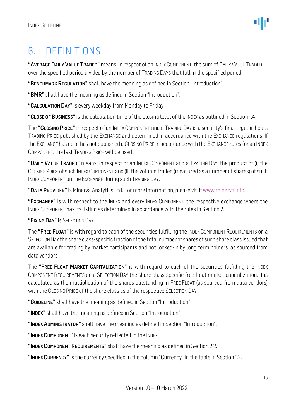### <span id="page-14-0"></span>6. DEFINITIONS

"AVERAGE DAILY VALUE TRADED" means, in respect of an INDEX COMPONENT, the sum of DAILY VALUE TRADED over the specified period divided by the number of TRADING DAYS that fall in the specified period.

"BENCHMARK REGULATION" shall have the meaning as defined in Section "Introduction".

"BMR" shall have the meaning as defined in Section "Introduction".

"CALCULATION DAY" is every weekday from Monday to Friday.

"CLOSE OF BUSINESS" is the calculation time of the closing level of the INDEX as outlined in Section 1.4.

The "CLOSING PRICE" in respect of an INDEX COMPONENT and a TRADING DAY is a security's final regular-hours TRADING PRICE published by the EXCHANGE and determined in accordance with the EXCHANGE regulations. If the EXCHANGE has no or has not published a CLOSING PRICE in accordance with the EXCHANGE rules for an INDEX COMPONENT, the last TRADING PRICE will be used.

"DAILY VALUE TRADED" means, in respect of an INDEX COMPONENT and a TRADING DAY, the product of (i) the CLOSING PRICE of such INDEX COMPONENT and (ii) the volume traded (measured as a number of shares) of such INDEX COMPONENT on the EXCHANGE during such TRADING DAY.

"DATA PROVIDER" is Minerva Analytics Ltd. For more information, please visit[: www.minerva.info.](http://www.minerva.info/)

"EXCHANGE" is with respect to the INDEX and every INDEX COMPONENT, the respective exchange where the INDEX COMPONENT has its listing as determined in accordance with the rules in Section 2.

"FIXING DAY" IS SELECTION DAY.

The "FREE FLOAT" is with regard to each of the securities fulfilling the INDEX COMPONENT REQUIREMENTS on a SELECTION DAY the share class-specific fraction of the total number of shares of such share class issued that are available for trading by market participants and not locked-in by long term holders, as sourced from data vendors.

The "FREE FLOAT MARKET CAPITALIZATION" is with regard to each of the securities fulfilling the INDEX COMPONENT REQUIREMENTS on a SELECTION DAY the share class-specific free float market capitalization. It is calculated as the multiplication of the shares outstanding in FREE FLOAT (as sourced from data vendors) with the CLOSING PRICE of the share class as of the respective SELECTION DAY.

"GUIDELINE" shall have the meaning as defined in Section "Introduction".

"INDEX" shall have the meaning as defined in Section "Introduction".

"INDEX ADMINISTRATOR" shall have the meaning as defined in Section "Introduction".

"INDEX COMPONENT" is each security reflected in the INDEX.

"INDEX COMPONENT REQUIREMENTS" shall have the meaning as defined in Section 2.2.

"INDEX CURRENCY" is the currency specified in the column "Currency" in the table in Section 1.2.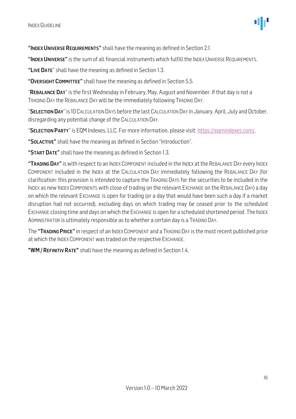

"INDEX UNIVERSE REQUIREMENTS" shall have the meaning as defined in Section 2.1.

"INDEX UNIVERSE" is the sum of all financial instruments which fulfill the INDEX UNIVERSE REQUIREMENTS.

"LIVE DATE" shall have the meaning as defined in Section 1.3.

"OVERSIGHT COMMITTEE" shall have the meaning as defined in Section 5.5.

"REBALANCE DAY" is the first Wednesday in February, May, August and November. If that day is not a TRADING DAY the REBALANCE DAY will be the immediately following TRADING DAY.

"SELECTION DAY" is 10 CALCULATION DAYS before the last CALCULATION DAY in January, April, July and October, disregarding any potential change of the CALCULATION DAY.

"SELECTION PARTY" is EQM Indexes, LLC. For more information, please visit[: https://eqmindexes.com/.](https://eqmindexes.com/)

"SOLACTIVE" shall have the meaning as defined in Section "Introduction".

"START DATE" shall have the meaning as defined in Section 1.3.

"TRADING DAY" is with respect to an INDEX COMPONENT included in the INDEX at the REBALANCE DAY every INDEX COMPONENT included in the INDEX at the CALCULATION DAY immediately following the REBALANCE DAY (for clarification: this provision is intended to capture the TRADING DAYS for the securities to be included in the INDEX as new INDEX COMPONENTS with close of trading on the relevant EXCHANGE on the REBALANCE DAY) a day on which the relevant EXCHANGE is open for trading (or a day that would have been such a day if a market disruption had not occurred), excluding days on which trading may be ceased prior to the scheduled EXCHANGE closing time and days on which the EXCHANGE is open for a scheduled shortened period. The INDEX ADMINISTRATOR is ultimately responsible as to whether a certain day is a TRADING DAY.

The "TRADING PRICE" in respect of an INDEX COMPONENT and a TRADING DAY is the most recent published price at which the INDEX COMPONENT was traded on the respective EXCHANGE.

"WM/REFINITIV RATE" shall have the meaning as defined in Section 1.4.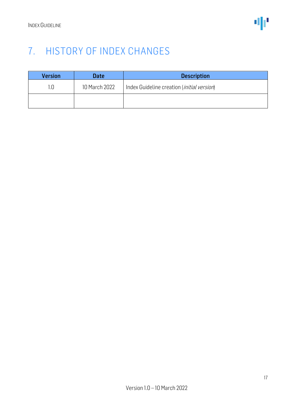### <span id="page-16-0"></span>7. HISTORY OF INDEX CHANGES

| <b>Version</b> | <b>Date</b>   | <b>Description</b>                                  |
|----------------|---------------|-----------------------------------------------------|
| 1.0            | 10 March 2022 | Index Guideline creation ( <i>initial version</i> ) |
|                |               |                                                     |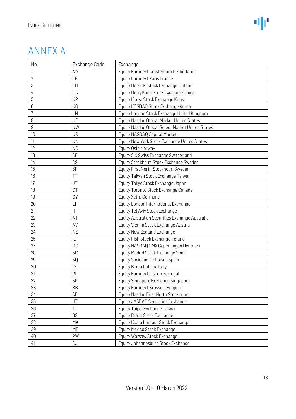### ANNEX A

| No.            | <b>Exchange Code</b>   | Exchange                                         |
|----------------|------------------------|--------------------------------------------------|
|                | <b>NA</b>              | Equity Euronext Amsterdam Netherlands            |
| $\overline{2}$ | FP                     | <b>Equity Euronext Paris France</b>              |
| 3              | <b>FH</b>              | Equity Helsinki Stock Exchange Finland           |
| 4              | HK                     | Equity Hong Kong Stock Exchange China            |
| 5              | KP                     | Equity Korea Stock Exchange Korea                |
| 6              | KQ                     | Equity KOSDAQ Stock Exchange Korea               |
| $\overline{1}$ | LN                     | Equity London Stock Exchange United Kingdom      |
| 8              | UQ                     | Equity Nasdaq Global Market United States        |
| 9              | UW                     | Equity Nasdaq Global Select Market United States |
| 10             | <b>UR</b>              | Equity NASDAQ Capital Market                     |
| 11             | <b>UN</b>              | Equity New York Stock Exchange United States     |
| 12             | N <sub>O</sub>         | Equity Oslo Norway                               |
| 13             | <b>SE</b>              | Equity SIX Swiss Exchange Switzerland            |
| 14             | SS                     | Equity Stockholm Stock Exchange Sweden           |
| 15             | SF                     | Equity First North Stockholm Sweden              |
| 16             | TT                     | Equity Taiwan Stock Exchange Taiwan              |
| 17             | JT                     | Equity Tokyo Stock Exchange Japan                |
| 18             | CT                     | Equity Toronto Stock Exchange Canada             |
| 19             | GY                     | Equity Xetra Germany                             |
| 20             | $\lfloor \ \rfloor$    | Equity London International Exchange             |
| 21             | $\mathsf{I}\mathsf{T}$ | Equity Tel Aviv Stock Exchange                   |
| 22             | AT                     | Equity Australian Securities Exchange Australia  |
| 23             | AV                     | Equity Vienna Stock Exchange Austria             |
| 24             | ΝZ                     | Equity New Zealand Exchange                      |
| 25             | ID                     | Equity Irish Stock Exchange Ireland              |
| 27             | <b>DC</b>              | Equity NASDAQ OMX Copenhagen Denmark             |
| 28             | SM                     | Equity Madrid Stock Exchange Spain               |
| 29             | SQ                     | Equity Sociedad de Bolsas Spain                  |
| 30             | IM                     | Equity Borsa Italiana Italy                      |
| 31             | PL                     | Equity Euronext Lisbon Portugal                  |
| 32             | SP                     | Equity Singapore Exchange Singapore              |
| 33             | <b>BB</b>              | Equity Euronext Brussels Belgium                 |
| 34             | SF                     | Equity Nasdaq First North Stockholm              |
| 35             | JT                     | Equity JASDAQ Securities Exchange                |
| 36             | TT                     | Equity Taipei Exchange Taiwan                    |
| 37             | <b>BS</b>              | Equity Brazil Stock Exchange                     |
| 38             | MK                     | Equity Kuala Lumpur Stock Exchange               |
| 39             | MF                     | <b>Equity Mexico Stock Exchange</b>              |
| 40             | PW                     | Equity Warsaw Stock Exchange                     |
| 41             | SJ                     | Equity Johannesburg Stock Exchange               |